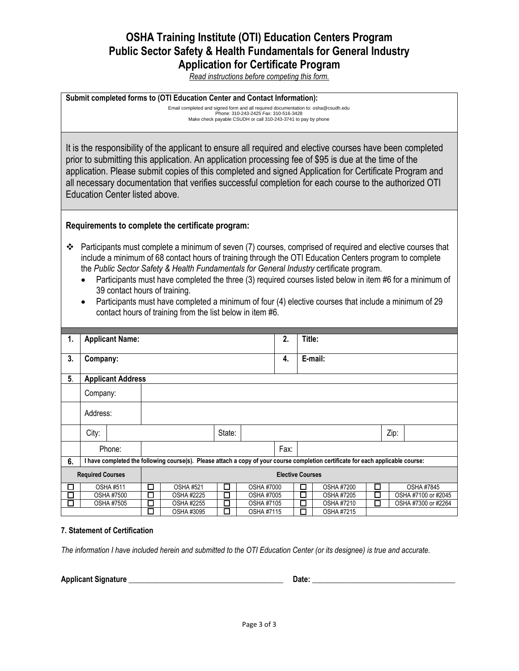# **OSHA Training Institute (OTI) Education Centers Program Public Sector Safety & Health Fundamentals for General Industry Application for Certificate Program**

*Read instructions before competing this form.*

### **Submit completed forms to (OTI Education Center and Contact Information):**

Email completed and signed form and all required documentation to: osha@csudh.edu Phone: 310-243-2425 Fax: 310-516-3428 Make check payable CSUDH or call 310-243-3741 to pay by phone

It is the responsibility of the applicant to ensure all required and elective courses have been completed prior to submitting this application. An application processing fee of \$95 is due at the time of the application. Please submit copies of this completed and signed Application for Certificate Program and all necessary documentation that verifies successful completion for each course to the authorized OTI Education Center listed above.

## **Requirements to complete the certificate program:**

- \* Participants must complete a minimum of seven (7) courses, comprised of required and elective courses that include a minimum of 68 contact hours of training through the OTI Education Centers program to complete the *Public Sector Safety & Health Fundamentals for General Industry* certificate program.
	- Participants must have completed the three (3) required courses listed below in item #6 for a minimum of 39 contact hours of training.
	- Participants must have completed a minimum of four (4) elective courses that include a minimum of 29 contact hours of training from the list below in item #6.

| 1.                      | <b>Applicant Name:</b>                                                                                                           |                   |                         |                   |                 | 2.                |      | Title: |                   |        |  |                     |
|-------------------------|----------------------------------------------------------------------------------------------------------------------------------|-------------------|-------------------------|-------------------|-----------------|-------------------|------|--------|-------------------|--------|--|---------------------|
|                         |                                                                                                                                  |                   |                         |                   |                 |                   |      |        |                   |        |  |                     |
| 3.                      | Company:                                                                                                                         |                   |                         |                   |                 |                   | 4.   |        | E-mail:           |        |  |                     |
|                         |                                                                                                                                  |                   |                         |                   |                 |                   |      |        |                   |        |  |                     |
| 5.                      | <b>Applicant Address</b>                                                                                                         |                   |                         |                   |                 |                   |      |        |                   |        |  |                     |
|                         |                                                                                                                                  |                   |                         |                   |                 |                   |      |        |                   |        |  |                     |
|                         | Company:                                                                                                                         |                   |                         |                   |                 |                   |      |        |                   |        |  |                     |
|                         |                                                                                                                                  |                   |                         |                   |                 |                   |      |        |                   |        |  |                     |
|                         | Address:                                                                                                                         |                   |                         |                   |                 |                   |      |        |                   |        |  |                     |
|                         |                                                                                                                                  |                   | State:                  |                   |                 |                   |      | Zip:   |                   |        |  |                     |
|                         | City:                                                                                                                            |                   |                         |                   |                 |                   |      |        |                   |        |  |                     |
|                         |                                                                                                                                  | Phone:            |                         |                   |                 |                   | Fax: |        |                   |        |  |                     |
| 6.                      | I have completed the following course(s). Please attach a copy of your course completion certificate for each applicable course: |                   |                         |                   |                 |                   |      |        |                   |        |  |                     |
| <b>Required Courses</b> |                                                                                                                                  |                   | <b>Elective Courses</b> |                   |                 |                   |      |        |                   |        |  |                     |
| □                       | <b>OSHA#511</b>                                                                                                                  |                   | □                       | <b>OSHA #521</b>  | □               | <b>OSHA #7000</b> |      | □      | <b>OSHA #7200</b> | $\Box$ |  | <b>OSHA #7845</b>   |
| □                       |                                                                                                                                  | <b>OSHA #7500</b> | $\Box$                  | <b>OSHA #2225</b> | □               | <b>OSHA #7005</b> |      | П      | <b>OSHA #7205</b> | П      |  | OSHA #7100 or #2045 |
| □                       |                                                                                                                                  | OSHA #7505        | ┓                       | OSHA #2255        | П<br>OSHA #7105 |                   |      | П      | OSHA #7210        | П      |  | OSHA #7300 or #2264 |
|                         |                                                                                                                                  |                   | □                       | OSHA #3095        | □               | OSHA #7115        |      | П      | OSHA #7215        |        |  |                     |

### **7. Statement of Certification**

*The information I have included herein and submitted to the OTI Education Center (or its designee) is true and accurate.*

Applicant Signature **Contains a struck of the Security Contains a Security Contains a Security Contains a Security Contains a Security Contains a Security Contains a Security Contains a Security Contains a Security Contain**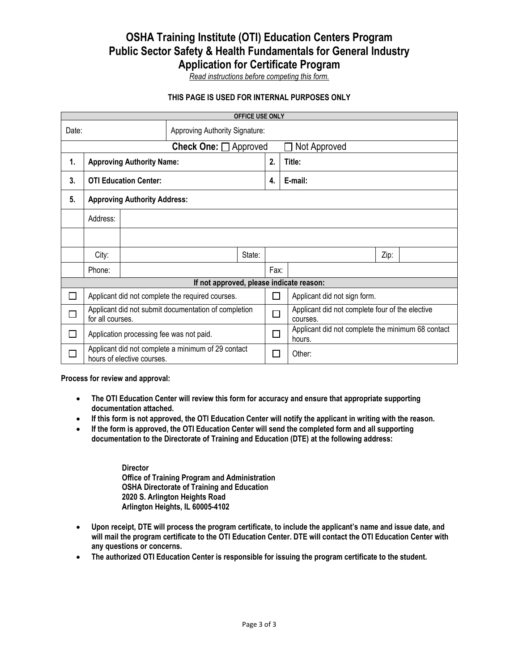# **OSHA Training Institute (OTI) Education Centers Program Public Sector Safety & Health Fundamentals for General Industry Application for Certificate Program**

*Read instructions before competing this form.*

## **THIS PAGE IS USED FOR INTERNAL PURPOSES ONLY**

| <b>OFFICE USE ONLY</b>                   |                                                                                  |  |  |        |      |              |                                                             |      |  |  |
|------------------------------------------|----------------------------------------------------------------------------------|--|--|--------|------|--------------|-------------------------------------------------------------|------|--|--|
| Approving Authority Signature:<br>Date:  |                                                                                  |  |  |        |      |              |                                                             |      |  |  |
| Check One: □ Approved                    |                                                                                  |  |  |        |      | Not Approved |                                                             |      |  |  |
| 1.                                       | <b>Approving Authority Name:</b>                                                 |  |  |        |      |              | Title:                                                      |      |  |  |
| 3.                                       | <b>OTI Education Center:</b>                                                     |  |  |        | 4.   |              | E-mail:                                                     |      |  |  |
| 5.                                       | <b>Approving Authority Address:</b>                                              |  |  |        |      |              |                                                             |      |  |  |
|                                          | Address:                                                                         |  |  |        |      |              |                                                             |      |  |  |
|                                          |                                                                                  |  |  |        |      |              |                                                             |      |  |  |
|                                          | City:                                                                            |  |  | State: |      |              |                                                             | Zip: |  |  |
|                                          | Phone:                                                                           |  |  |        | Fax: |              |                                                             |      |  |  |
| If not approved, please indicate reason: |                                                                                  |  |  |        |      |              |                                                             |      |  |  |
|                                          | Applicant did not complete the required courses.                                 |  |  |        |      |              | Applicant did not sign form.                                |      |  |  |
|                                          | Applicant did not submit documentation of completion<br>for all courses.         |  |  |        |      | $\Box$       | Applicant did not complete four of the elective<br>courses. |      |  |  |
| П                                        | Application processing fee was not paid.                                         |  |  |        |      | □            | Applicant did not complete the minimum 68 contact<br>hours. |      |  |  |
|                                          | Applicant did not complete a minimum of 29 contact<br>hours of elective courses. |  |  |        |      |              | Other:                                                      |      |  |  |

**Process for review and approval:**

- **The OTI Education Center will review this form for accuracy and ensure that appropriate supporting documentation attached.**
- **If this form is not approved, the OTI Education Center will notify the applicant in writing with the reason.**
- **If the form is approved, the OTI Education Center will send the completed form and all supporting documentation to the Directorate of Training and Education (DTE) at the following address:**

**Director Office of Training Program and Administration OSHA Directorate of Training and Education 2020 S. Arlington Heights Road Arlington Heights, IL 60005-4102**

- **Upon receipt, DTE will process the program certificate, to include the applicant's name and issue date, and will mail the program certificate to the OTI Education Center. DTE will contact the OTI Education Center with any questions or concerns.**
- **The authorized OTI Education Center is responsible for issuing the program certificate to the student.**